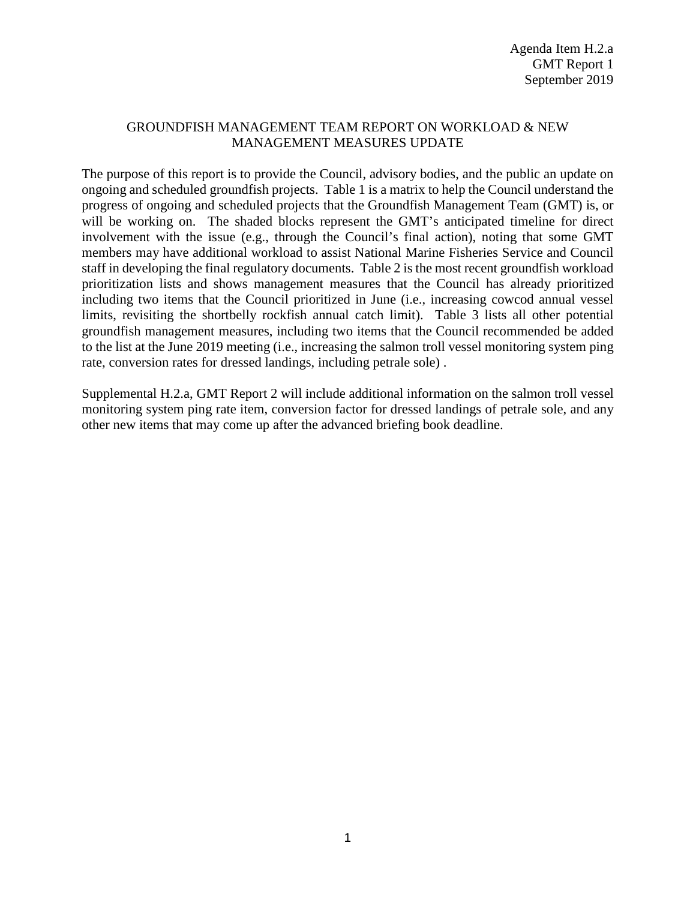## GROUNDFISH MANAGEMENT TEAM REPORT ON WORKLOAD & NEW MANAGEMENT MEASURES UPDATE

The purpose of this report is to provide the Council, advisory bodies, and the public an update on ongoing and scheduled groundfish projects. Table 1 is a matrix to help the Council understand the progress of ongoing and scheduled projects that the Groundfish Management Team (GMT) is, or will be working on. The shaded blocks represent the GMT's anticipated timeline for direct involvement with the issue (e.g., through the Council's final action), noting that some GMT members may have additional workload to assist National Marine Fisheries Service and Council staff in developing the final regulatory documents. Table 2 is the most recent groundfish workload prioritization lists and shows management measures that the Council has already prioritized including two items that the Council prioritized in June (i.e., increasing cowcod annual vessel limits, revisiting the shortbelly rockfish annual catch limit). Table 3 lists all other potential groundfish management measures, including two items that the Council recommended be added to the list at the June 2019 meeting (i.e., increasing the salmon troll vessel monitoring system ping rate, conversion rates for dressed landings, including petrale sole) .

Supplemental H.2.a, GMT Report 2 will include additional information on the salmon troll vessel monitoring system ping rate item, conversion factor for dressed landings of petrale sole, and any other new items that may come up after the advanced briefing book deadline.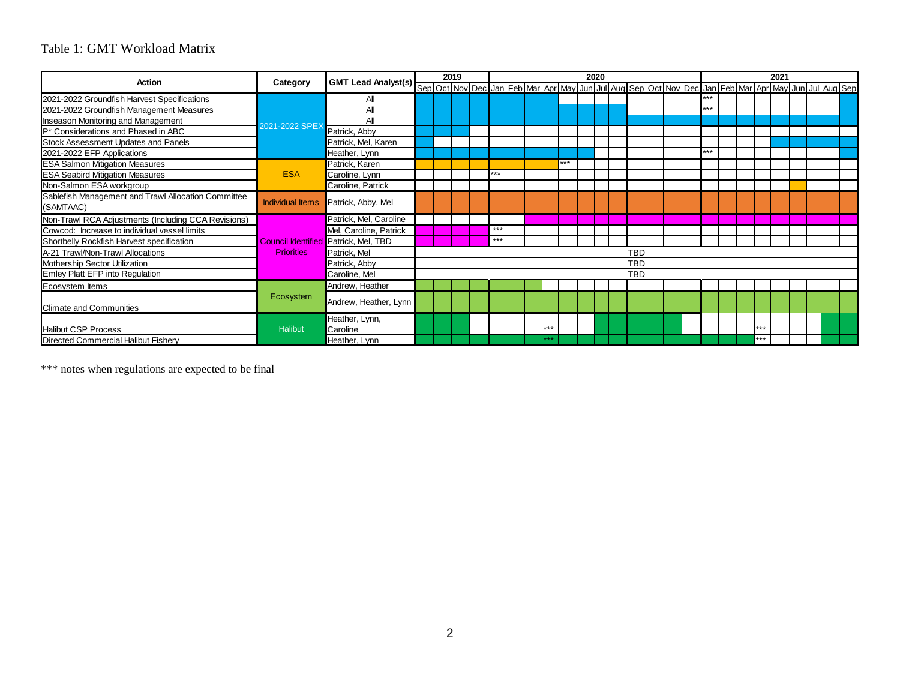## Table 1: GMT Workload Matrix

| <b>Action</b>                                       |                         |                                             |            | 2019<br>2020 |  |  |     |  |  | 2021 |     |  |  |  |            |  |     |  |     |  |                                                                                                     |  |  |  |
|-----------------------------------------------------|-------------------------|---------------------------------------------|------------|--------------|--|--|-----|--|--|------|-----|--|--|--|------------|--|-----|--|-----|--|-----------------------------------------------------------------------------------------------------|--|--|--|
|                                                     | Category                | GMT Lead Analyst(s)                         |            |              |  |  |     |  |  |      |     |  |  |  |            |  |     |  |     |  | Sep Oct Nov Dec Jan Feb Mar Apr May Jun Jul Aug Sep Oct Nov Dec Jan Feb Mar Apr May Jun Jul Aug Sep |  |  |  |
| 2021-2022 Groundfish Harvest Specifications         |                         | ΑI                                          |            |              |  |  |     |  |  |      |     |  |  |  |            |  | *** |  |     |  |                                                                                                     |  |  |  |
| 2021-2022 Groundfish Management Measures            |                         | All                                         |            |              |  |  |     |  |  |      |     |  |  |  |            |  | *** |  |     |  |                                                                                                     |  |  |  |
| <b>Inseason Monitoring and Management</b>           |                         | All                                         |            |              |  |  |     |  |  |      |     |  |  |  |            |  |     |  |     |  |                                                                                                     |  |  |  |
| P* Considerations and Phased in ABC                 | 2021-2022 SPEX          | Patrick, Abby                               |            |              |  |  |     |  |  |      |     |  |  |  |            |  |     |  |     |  |                                                                                                     |  |  |  |
| Stock Assessment Updates and Panels                 |                         | Patrick, Mel, Karen                         |            |              |  |  |     |  |  |      |     |  |  |  |            |  |     |  |     |  |                                                                                                     |  |  |  |
| 2021-2022 EFP Applications                          |                         | Heather, Lynn                               |            |              |  |  |     |  |  |      |     |  |  |  |            |  | *** |  |     |  |                                                                                                     |  |  |  |
| <b>ESA Salmon Mitigation Measures</b>               |                         | Patrick, Karen                              |            |              |  |  |     |  |  |      | *** |  |  |  |            |  |     |  |     |  |                                                                                                     |  |  |  |
| <b>ESA Seabird Mitigation Measures</b>              | <b>ESA</b>              | Caroline, Lynn                              |            |              |  |  | *** |  |  |      |     |  |  |  |            |  |     |  |     |  |                                                                                                     |  |  |  |
| Non-Salmon ESA workgroup                            |                         | Caroline, Patrick                           |            |              |  |  |     |  |  |      |     |  |  |  |            |  |     |  |     |  |                                                                                                     |  |  |  |
| Sablefish Management and Trawl Allocation Committee | <b>Individual Items</b> | Patrick, Abby, Mel                          |            |              |  |  |     |  |  |      |     |  |  |  |            |  |     |  |     |  |                                                                                                     |  |  |  |
| (SAMTAAC)                                           |                         |                                             |            |              |  |  |     |  |  |      |     |  |  |  |            |  |     |  |     |  |                                                                                                     |  |  |  |
| Non-Trawl RCA Adjustments (Including CCA Revisions) |                         | Patrick, Mel, Caroline                      |            |              |  |  |     |  |  |      |     |  |  |  |            |  |     |  |     |  |                                                                                                     |  |  |  |
| Cowcod: Increase to individual vessel limits        |                         | Mel, Caroline, Patrick                      |            |              |  |  | *** |  |  |      |     |  |  |  |            |  |     |  |     |  |                                                                                                     |  |  |  |
| Shortbelly Rockfish Harvest specification           |                         | <b>Council Identified Patrick, Mel, TBD</b> |            |              |  |  | *** |  |  |      |     |  |  |  |            |  |     |  |     |  |                                                                                                     |  |  |  |
| A-21 Trawl/Non-Trawl Allocations                    | <b>Priorities</b>       | Patrick, Mel                                | <b>TBD</b> |              |  |  |     |  |  |      |     |  |  |  |            |  |     |  |     |  |                                                                                                     |  |  |  |
| Mothership Sector Utilization                       |                         | Patrick, Abby                               | <b>TBD</b> |              |  |  |     |  |  |      |     |  |  |  |            |  |     |  |     |  |                                                                                                     |  |  |  |
| Emley Platt EFP into Regulation                     |                         | Caroline, Mel                               |            |              |  |  |     |  |  |      |     |  |  |  | <b>TBD</b> |  |     |  |     |  |                                                                                                     |  |  |  |
| Ecosystem Items                                     |                         | Andrew, Heather                             |            |              |  |  |     |  |  |      |     |  |  |  |            |  |     |  |     |  |                                                                                                     |  |  |  |
| <b>Climate and Communities</b>                      | Ecosystem               | Andrew, Heather, Lynn                       |            |              |  |  |     |  |  |      |     |  |  |  |            |  |     |  |     |  |                                                                                                     |  |  |  |
| <b>Halibut CSP Process</b>                          | Halibut                 | Heather, Lynn,<br>Caroline                  |            |              |  |  |     |  |  | ***  |     |  |  |  |            |  |     |  | *** |  |                                                                                                     |  |  |  |
| Directed Commercial Halibut Fishery                 |                         | Heather, Lynn                               |            |              |  |  |     |  |  | ***  |     |  |  |  |            |  |     |  | *** |  |                                                                                                     |  |  |  |

\*\*\* notes when regulations are expected to be final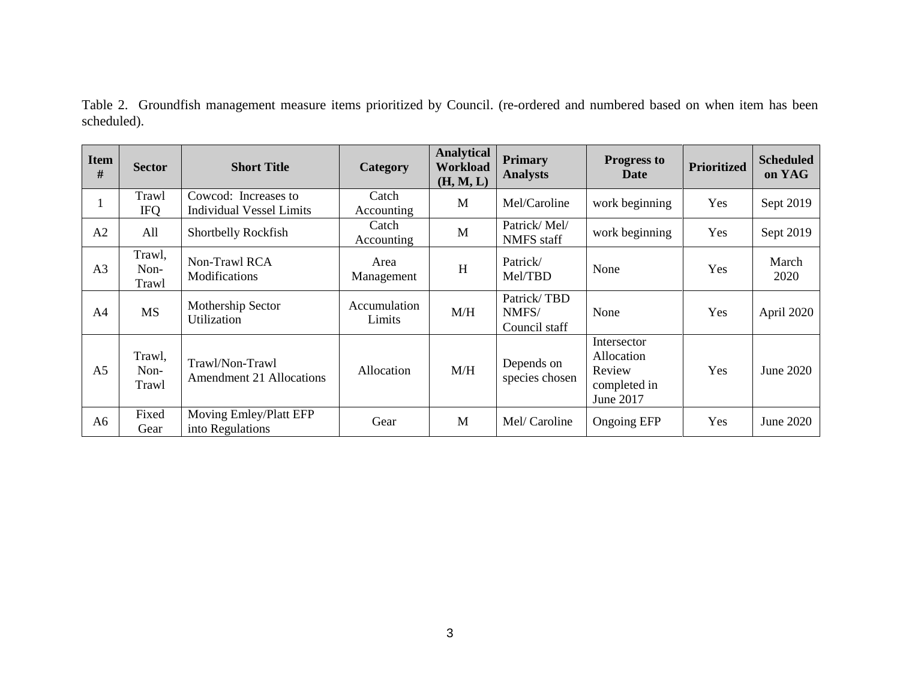|             | Table 2. Groundfish management measure items prioritized by Council. (re-ordered and numbered based on when item has been |  |  |  |  |  |  |  |
|-------------|---------------------------------------------------------------------------------------------------------------------------|--|--|--|--|--|--|--|
| scheduled). |                                                                                                                           |  |  |  |  |  |  |  |

| <b>Item</b><br># | <b>Sector</b>           | <b>Short Title</b>                                      | Category               | <b>Analytical</b><br><b>Workload</b><br>(H, M, L) | <b>Primary</b><br><b>Analysts</b>     | <b>Progress to</b><br>Date                                       | <b>Prioritized</b> | <b>Scheduled</b><br>on YAG |
|------------------|-------------------------|---------------------------------------------------------|------------------------|---------------------------------------------------|---------------------------------------|------------------------------------------------------------------|--------------------|----------------------------|
|                  | Trawl<br><b>IFQ</b>     | Cowcod: Increases to<br><b>Individual Vessel Limits</b> | Catch<br>Accounting    | M                                                 | Mel/Caroline                          | work beginning                                                   | Yes                | Sept 2019                  |
| A <sub>2</sub>   | All                     | Shortbelly Rockfish                                     | Catch<br>Accounting    | M                                                 | Patrick/Mel/<br><b>NMFS</b> staff     | work beginning                                                   | Yes                | Sept 2019                  |
| A <sub>3</sub>   | Trawl,<br>Non-<br>Trawl | Non-Trawl RCA<br>Modifications                          | Area<br>Management     | H                                                 | Patrick/<br>Mel/TBD                   | None                                                             | Yes                | March<br>2020              |
| A <sub>4</sub>   | <b>MS</b>               | Mothership Sector<br>Utilization                        | Accumulation<br>Limits | M/H                                               | Patrick/TBD<br>NMFS/<br>Council staff | None                                                             | Yes                | April 2020                 |
| A <sub>5</sub>   | Trawl,<br>Non-<br>Trawl | Trawl/Non-Trawl<br><b>Amendment 21 Allocations</b>      | Allocation             | M/H                                               | Depends on<br>species chosen          | Intersector<br>Allocation<br>Review<br>completed in<br>June 2017 | Yes                | June 2020                  |
| A <sub>6</sub>   | Fixed<br>Gear           | Moving Emley/Platt EFP<br>into Regulations              | Gear                   | M                                                 | Mel/ Caroline                         | <b>Ongoing EFP</b>                                               | <b>Yes</b>         | June 2020                  |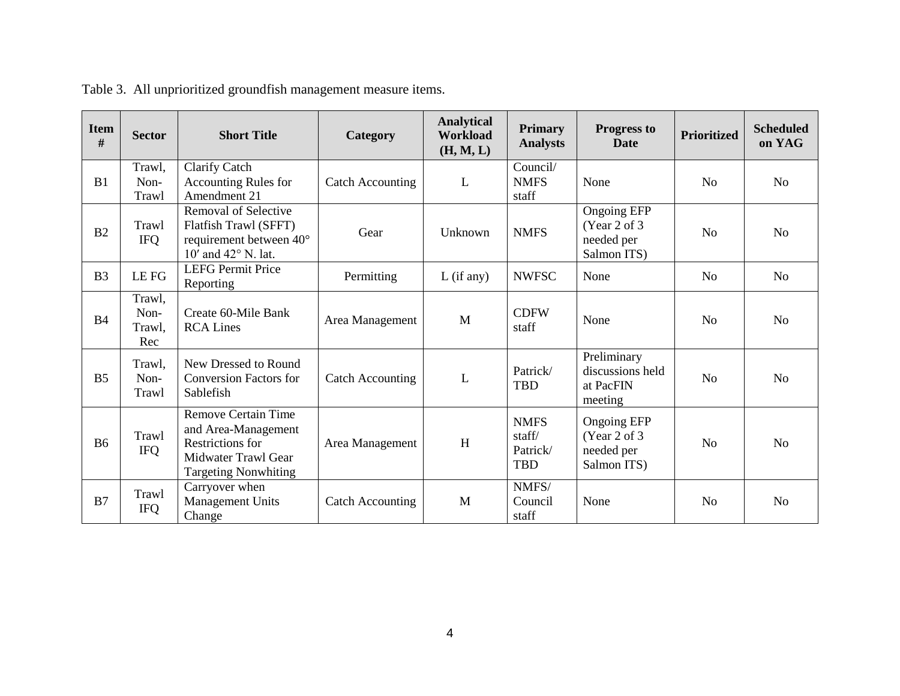| <b>Item</b><br># | <b>Sector</b>                   | <b>Short Title</b>                                                                                                                 | Category                | <b>Analytical</b><br><b>Workload</b><br>(H, M, L) | <b>Primary</b><br><b>Analysts</b>               | <b>Progress to</b><br><b>Date</b>                                | <b>Prioritized</b> | <b>Scheduled</b><br>on YAG |
|------------------|---------------------------------|------------------------------------------------------------------------------------------------------------------------------------|-------------------------|---------------------------------------------------|-------------------------------------------------|------------------------------------------------------------------|--------------------|----------------------------|
| B1               | Trawl,<br>Non-<br>Trawl         | <b>Clarify Catch</b><br><b>Accounting Rules for</b><br>Amendment 21                                                                | <b>Catch Accounting</b> | L                                                 | Council/<br><b>NMFS</b><br>staff                | None                                                             | N <sub>o</sub>     | N <sub>o</sub>             |
| B <sub>2</sub>   | Trawl<br><b>IFQ</b>             | Removal of Selective<br>Flatfish Trawl (SFFT)<br>requirement between 40°<br>10' and 42° N. lat.                                    | Gear                    | Unknown                                           | <b>NMFS</b>                                     | <b>Ongoing EFP</b><br>(Year 2 of 3)<br>needed per<br>Salmon ITS) | N <sub>o</sub>     | N <sub>o</sub>             |
| B <sub>3</sub>   | LE FG                           | <b>LEFG Permit Price</b><br>Reporting                                                                                              | Permitting              | $L$ (if any)                                      | <b>NWFSC</b>                                    | None                                                             | No                 | No                         |
| <b>B4</b>        | Trawl,<br>Non-<br>Trawl,<br>Rec | Create 60-Mile Bank<br><b>RCA Lines</b>                                                                                            | Area Management         | M                                                 | <b>CDFW</b><br>staff                            | None                                                             | No                 | N <sub>o</sub>             |
| B <sub>5</sub>   | Trawl,<br>Non-<br>Trawl         | New Dressed to Round<br><b>Conversion Factors for</b><br>Sablefish                                                                 | <b>Catch Accounting</b> | L                                                 | Patrick/<br><b>TBD</b>                          | Preliminary<br>discussions held<br>at PacFIN<br>meeting          | N <sub>o</sub>     | N <sub>o</sub>             |
| <b>B6</b>        | Trawl<br><b>IFQ</b>             | Remove Certain Time<br>and Area-Management<br><b>Restrictions for</b><br><b>Midwater Trawl Gear</b><br><b>Targeting Nonwhiting</b> | Area Management         | H                                                 | <b>NMFS</b><br>staff/<br>Patrick/<br><b>TBD</b> | <b>Ongoing EFP</b><br>(Year 2 of 3)<br>needed per<br>Salmon ITS) | N <sub>0</sub>     | N <sub>0</sub>             |
| B7               | Trawl<br><b>IFQ</b>             | Carryover when<br><b>Management Units</b><br>Change                                                                                | <b>Catch Accounting</b> | M                                                 | NMFS/<br>Council<br>staff                       | None                                                             | N <sub>o</sub>     | N <sub>o</sub>             |

Table 3. All unprioritized groundfish management measure items.